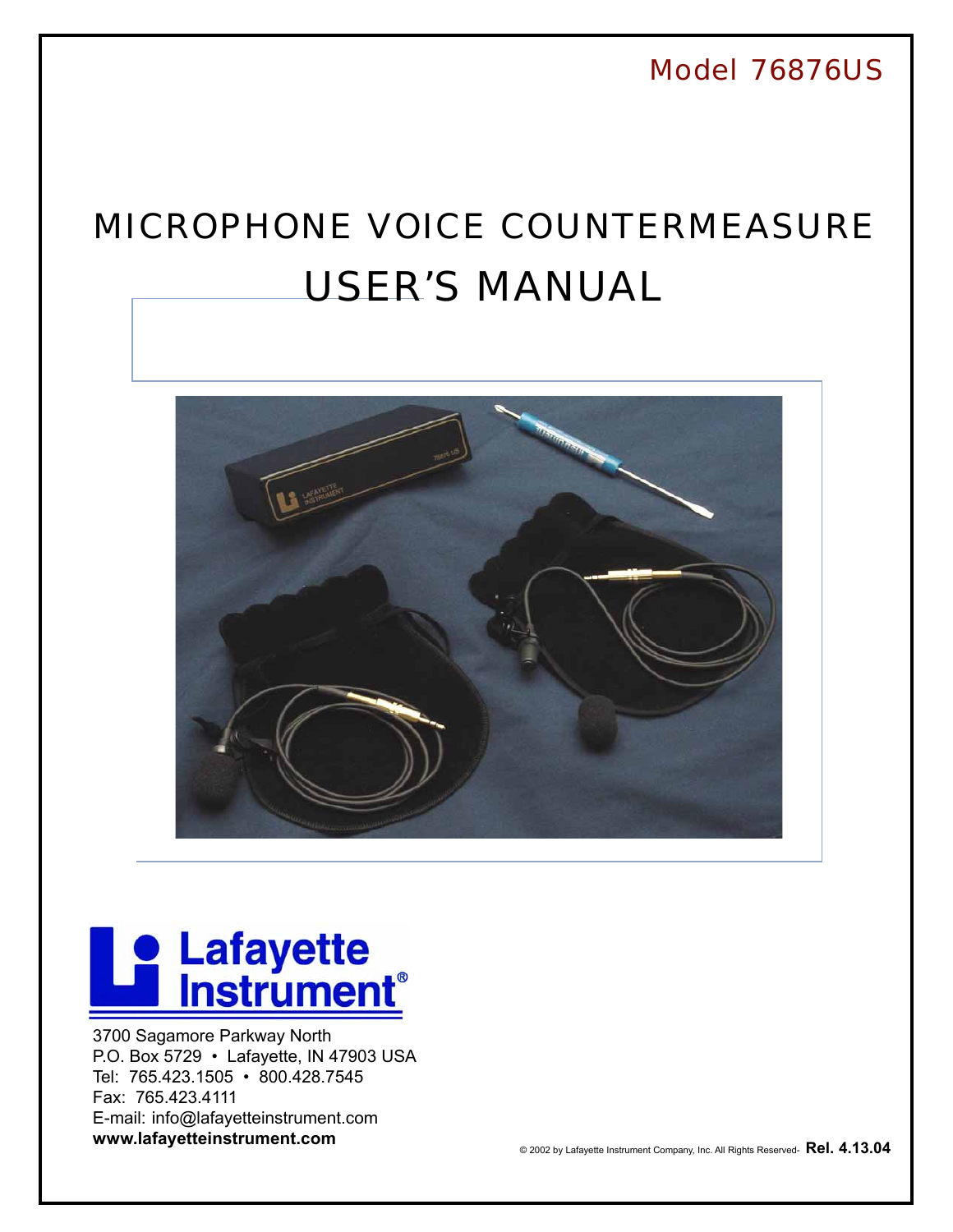Model 76876US User's Manual 19876US USER's Manual 19876USER's Manual 19876USER's Manual 19876USER's Manual 198 *Model 76876US*

## MICROPHONE VOICE COUNTERMEASURE USER'S MANUAL



## **De Lafayette**

3700 Sagamore Parkway North P.O. Box 5729 • Lafayette, IN 47903 USA Tel: 765.423.1505 • 800.428.7545 Fax: 765.423.4111 E-mail: info@lafayetteinstrument.com **www.lafayetteinstrument.com**<br>
© 2002 by Lafayette Instrument Company, Inc. All Rights Reserved- **Rel. 4.13.04** 

 $\mathbf{F}_{\mathbf{r}}$  fax: 765-423-4111 . www.lafayetteinstrument.com . E-mail: info@lafayetteinstrument.com . E-mail: info@lafayetteinstrument.com . E-mail: info@lafayetteinstrument.com . E-mail: info@lafayetteinstrument.com . E

1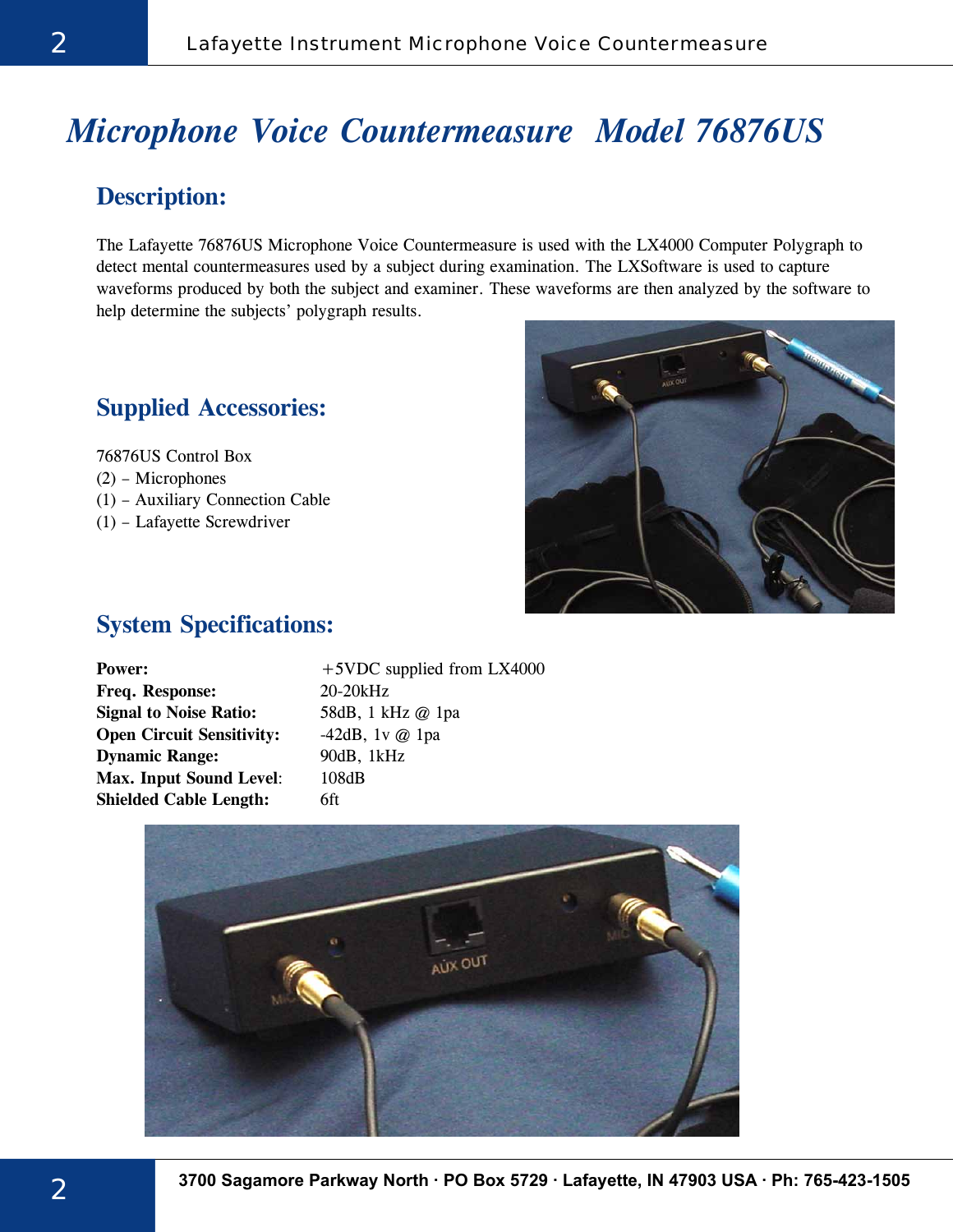## *Microphone Voice Countermeasure Model 76876US*

## **Description:**

The Lafayette 76876US Microphone Voice Countermeasure is used with the LX4000 Computer Polygraph to detect mental countermeasures used by a subject during examination. The LXSoftware is used to capture waveforms produced by both the subject and examiner. These waveforms are then analyzed by the software to help determine the subjects' polygraph results.

### **Supplied Accessories:**

76876US Control Box

- (2) Microphones
- (1) Auxiliary Connection Cable
- (1) Lafayette Screwdriver



## **System Specifications:**

| Power:                           | $+5$ VDC supplied from LX4000 |
|----------------------------------|-------------------------------|
| Freq. Response:                  | $20-20kHz$                    |
| <b>Signal to Noise Ratio:</b>    | 58dB, 1 kHz @ 1pa             |
| <b>Open Circuit Sensitivity:</b> | $-42dB$ , 1v @ 1pa            |
| <b>Dynamic Range:</b>            | 90dB, 1kHz                    |
| <b>Max. Input Sound Level:</b>   | 108dB                         |
| <b>Shielded Cable Length:</b>    | 6ft                           |

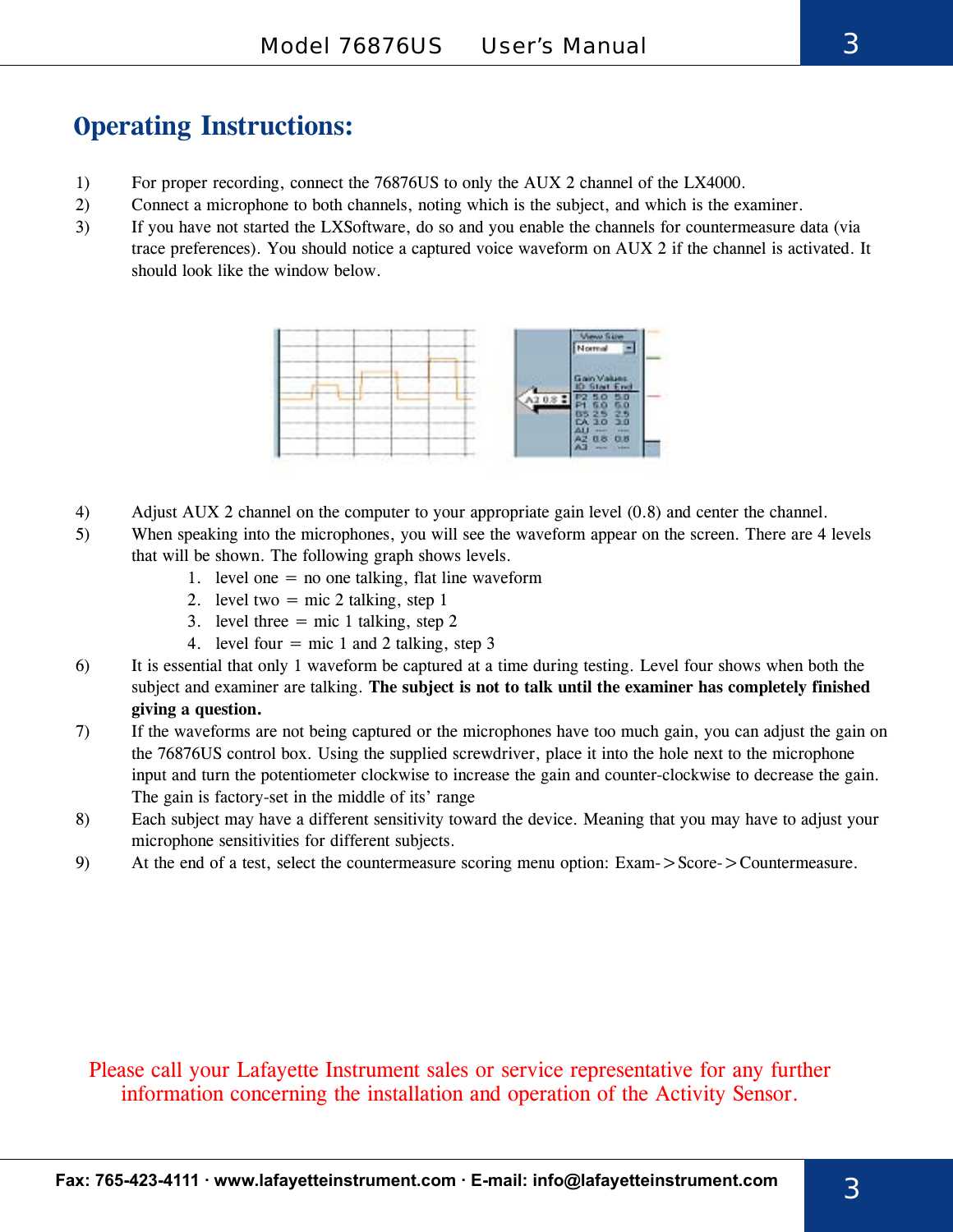## **Operating Instructions:**

- 1) For proper recording, connect the 76876US to only the AUX 2 channel of the LX4000.
- 2) Connect a microphone to both channels, noting which is the subject, and which is the examiner.
- 3) If you have not started the LXSoftware, do so and you enable the channels for countermeasure data (via trace preferences). You should notice a captured voice waveform on AUX 2 if the channel is activated. It should look like the window below.



- 4) Adjust AUX 2 channel on the computer to your appropriate gain level (0.8) and center the channel.
- 5) When speaking into the microphones, you will see the waveform appear on the screen. There are 4 levels that will be shown. The following graph shows levels.
	- 1. level one  $=$  no one talking, flat line waveform
	- 2. level two  $=$  mic 2 talking, step 1
	- 3. level three  $=$  mic 1 talking, step 2
	- 4. level four  $=$  mic 1 and 2 talking, step 3
- 6) It is essential that only 1 waveform be captured at a time during testing. Level four shows when both the subject and examiner are talking. **The subject is not to talk until the examiner has completely finished giving a question.**
- 7) If the waveforms are not being captured or the microphones have too much gain, you can adjust the gain on the 76876US control box. Using the supplied screwdriver, place it into the hole next to the microphone input and turn the potentiometer clockwise to increase the gain and counter-clockwise to decrease the gain. The gain is factory-set in the middle of its' range
- 8) Each subject may have a different sensitivity toward the device. Meaning that you may have to adjust your microphone sensitivities for different subjects.
- 9) At the end of a test, select the countermeasure scoring menu option: Exam->Score->Countermeasure.

Please call your Lafayette Instrument sales or service representative for any further information concerning the installation and operation of the Activity Sensor.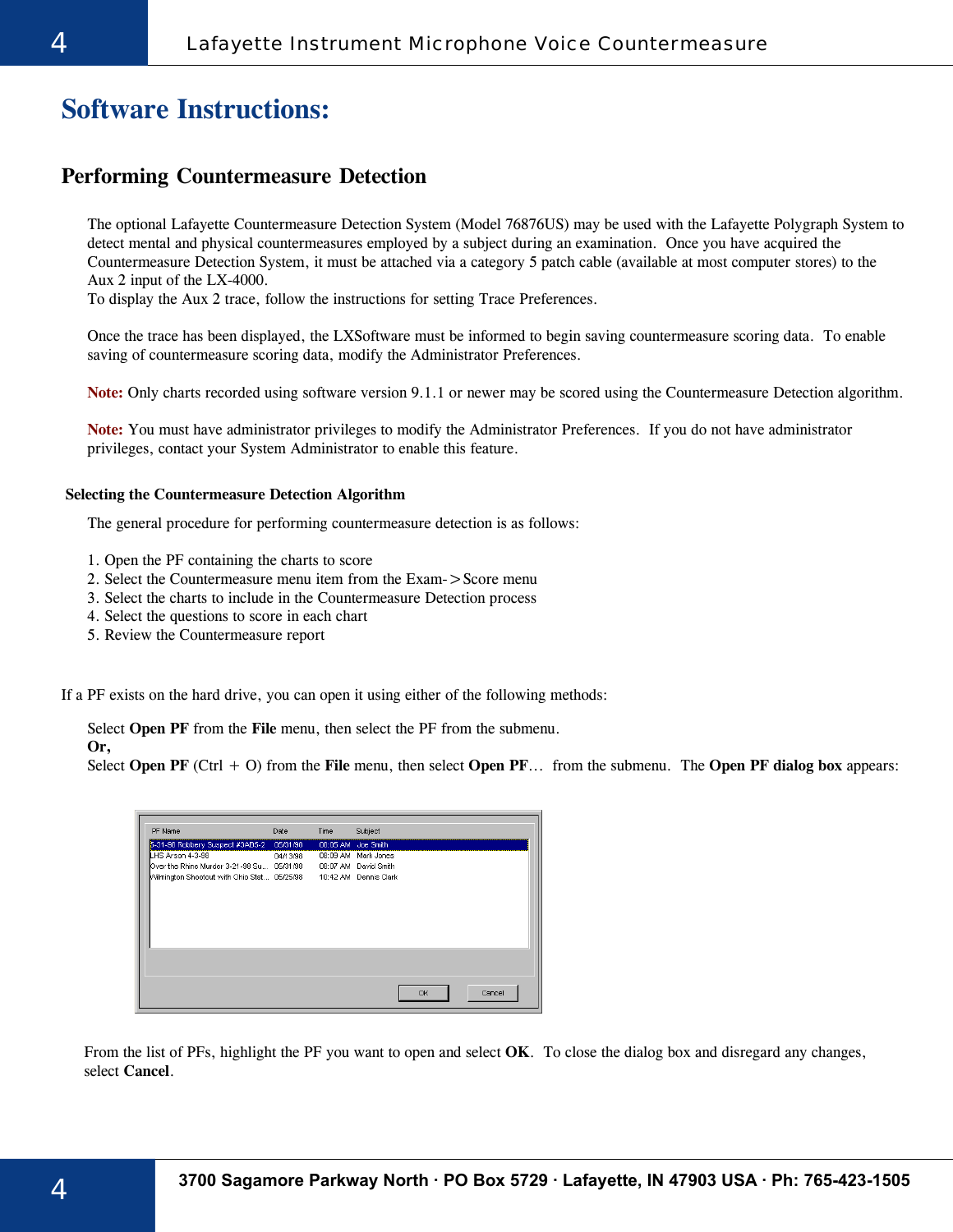## **Software Instructions:**

#### **Performing Countermeasure Detection**

The optional Lafayette Countermeasure Detection System (Model 76876US) may be used with the Lafayette Polygraph System to detect mental and physical countermeasures employed by a subject during an examination. Once you have acquired the Countermeasure Detection System, it must be attached via a category 5 patch cable (available at most computer stores) to the Aux 2 input of the LX-4000.

To display the Aux 2 trace, follow the instructions for setting Trace Preferences.

Once the trace has been displayed, the LXSoftware must be informed to begin saving countermeasure scoring data. To enable saving of countermeasure scoring data, modify the Administrator Preferences.

**Note:** Only charts recorded using software version 9.1.1 or newer may be scored using the Countermeasure Detection algorithm.

**Note:** You must have administrator privileges to modify the Administrator Preferences. If you do not have administrator privileges, contact your System Administrator to enable this feature.

#### **Selecting the Countermeasure Detection Algorithm**

The general procedure for performing countermeasure detection is as follows:

- 1. Open the PF containing the charts to score
- 2. Select the Countermeasure menu item from the Exam->Score menu
- 3. Select the charts to include in the Countermeasure Detection process
- 4. Select the questions to score in each chart
- 5. Review the Countermeasure report

If a PF exists on the hard drive, you can open it using either of the following methods:

Select **Open PF** from the **File** menu, then select the PF from the submenu.

**Or,**

Select **Open PF** (Ctrl + O) from the **File** menu, then select **Open PF**... from the submenu. The **Open PF dialog box** appears:

| 5-31-98 Robbery Suspect #3AB5-2 05/31/98<br>08:05 AM Joe Smith<br>LHS Arson 4-3-98<br>08:09 AM Mark Jones<br>04/13/98<br>Milmington Shootout with Ohio Stat 05/25/98 10:42 AM Dennis Clark | PF Name | Date | Time | Subject      |
|--------------------------------------------------------------------------------------------------------------------------------------------------------------------------------------------|---------|------|------|--------------|
|                                                                                                                                                                                            |         |      |      |              |
|                                                                                                                                                                                            |         |      |      |              |
|                                                                                                                                                                                            |         |      |      |              |
|                                                                                                                                                                                            |         |      |      |              |
|                                                                                                                                                                                            |         |      |      |              |
|                                                                                                                                                                                            |         |      |      |              |
|                                                                                                                                                                                            |         |      |      |              |
|                                                                                                                                                                                            |         |      |      |              |
|                                                                                                                                                                                            |         |      |      |              |
|                                                                                                                                                                                            |         |      |      |              |
|                                                                                                                                                                                            |         |      |      |              |
|                                                                                                                                                                                            |         |      |      |              |
|                                                                                                                                                                                            |         |      |      |              |
|                                                                                                                                                                                            |         |      |      |              |
|                                                                                                                                                                                            |         |      |      | OK<br>Cancel |

From the list of PFs, highlight the PF you want to open and select **OK**. To close the dialog box and disregard any changes, select **Cancel**.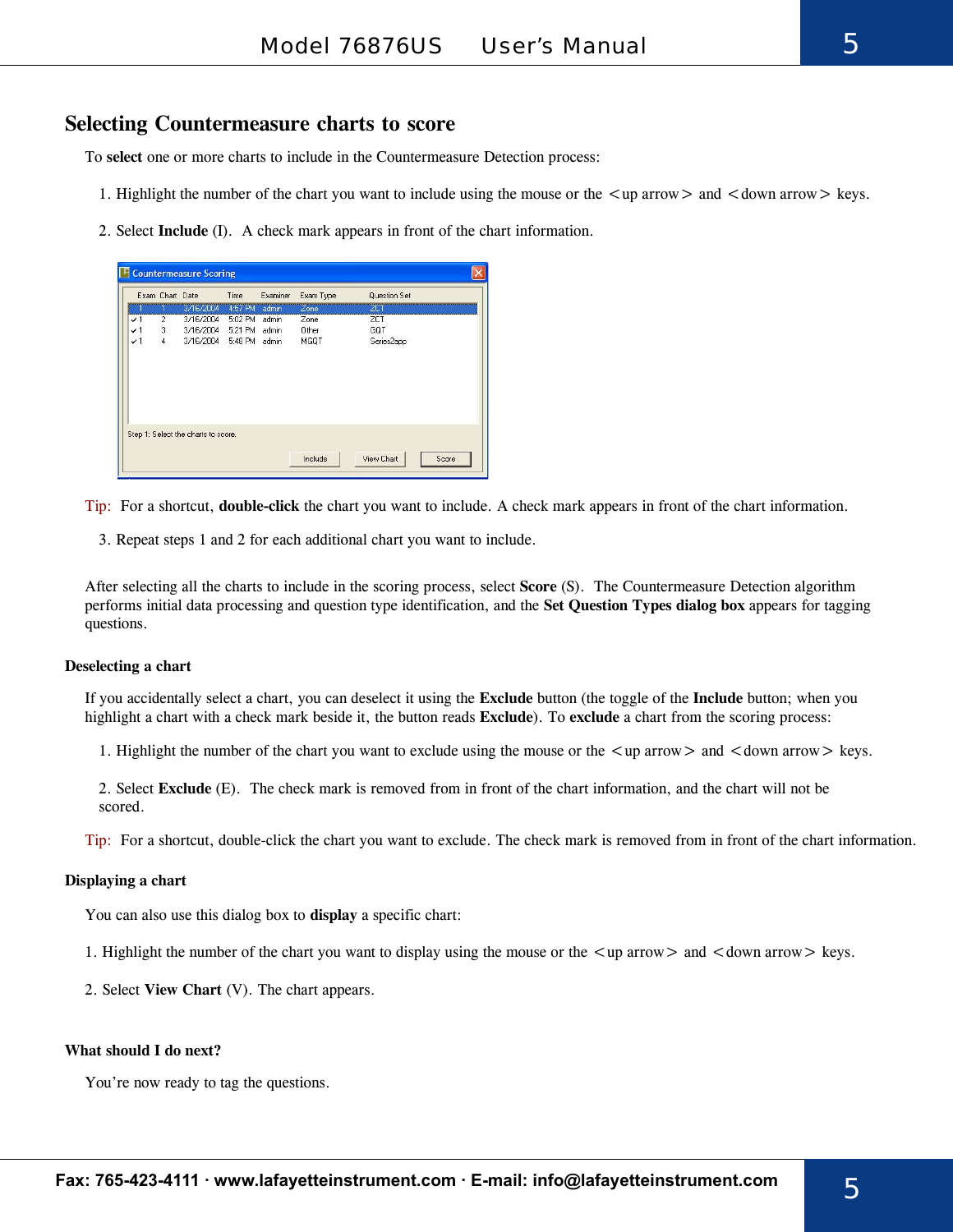#### **Selecting Countermeasure charts to score**

To **select** one or more charts to include in the Countermeasure Detection process:

- 1. Highlight the number of the chart you want to include using the mouse or the  $\langle$ up arrow $\rangle$  and  $\langle$  down arrow $\rangle$  keys.
- 2. Select **Include** (I). A check mark appears in front of the chart information.

|                 | Exam Chart Date |                                     | Time          | Examiner | Exam Type | Question Set |  |
|-----------------|-----------------|-------------------------------------|---------------|----------|-----------|--------------|--|
|                 |                 | 3/16/2004                           | 4:57 PM       | admin    | Zone      | ZCT          |  |
| $\mathcal{V}$ 1 | $\overline{2}$  | 3/16/2004                           | 5:02 PM admin |          | Zone      | <b>ZCT</b>   |  |
| $\checkmark$    | 3               | 3/16/2004 5:21 PM admin             |               |          | Other     | GOT          |  |
| $\checkmark$    | $\overline{4}$  | 3/16/2004 5:48 PM admin             |               |          | MGQT      | Series2app   |  |
|                 |                 |                                     |               |          |           |              |  |
|                 |                 | Step 1: Select the charts to score. |               |          |           |              |  |
|                 |                 |                                     |               |          |           |              |  |

Tip: For a shortcut, **double-click** the chart you want to include. A check mark appears in front of the chart information.

3. Repeat steps 1 and 2 for each additional chart you want to include.

After selecting all the charts to include in the scoring process, select **Score** (S). The Countermeasure Detection algorithm performs initial data processing and question type identification, and the **Set Question Types dialog box** appears for tagging questions.

#### **Deselecting a chart**

If you accidentally select a chart, you can deselect it using the **Exclude** button (the toggle of the **Include** button; when you highlight a chart with a check mark beside it, the button reads **Exclude**). To **exclude** a chart from the scoring process:

1. Highlight the number of the chart you want to exclude using the mouse or the  $\langle \text{up arrow} \rangle$  and  $\langle \text{down arrow} \rangle$  keys.

2. Select **Exclude** (E). The check mark is removed from in front of the chart information, and the chart will not be scored.

Tip: For a shortcut, double-click the chart you want to exclude. The check mark is removed from in front of the chart information.

#### **Displaying a chart**

You can also use this dialog box to **display** a specific chart:

- 1. Highlight the number of the chart you want to display using the mouse or the  $\langle \text{up arrow} \rangle$  and  $\langle \text{down arrow} \rangle$  keys.
- 2. Select **View Chart** (V). The chart appears.

#### **What should I do next?**

You're now ready to tag the questions.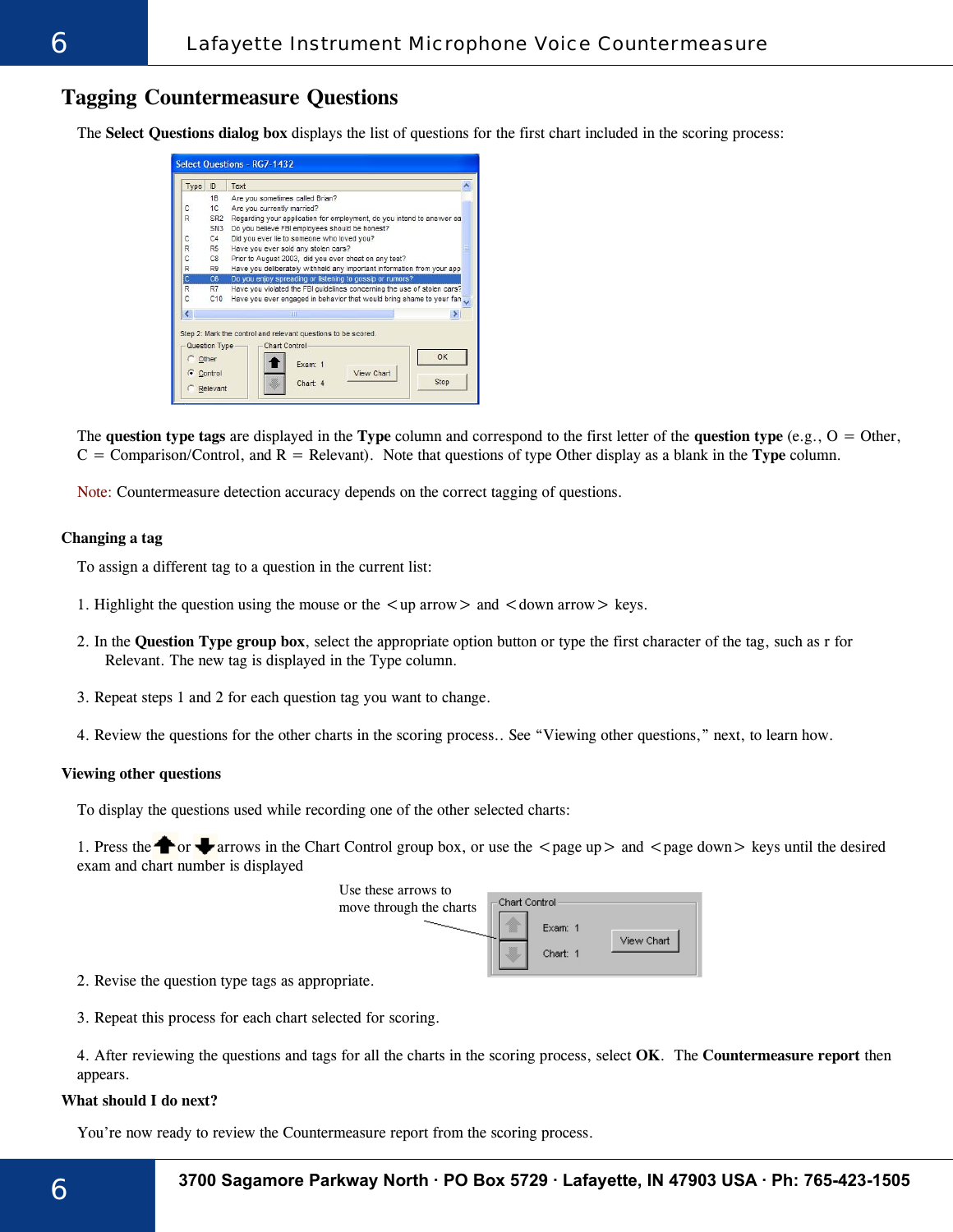#### **Tagging Countermeasure Questions**

The **Select Questions dialog box** displays the list of questions for the first chart included in the scoring process:

| Type           | ID              | Text                                                                    |  |  |  |  |  |  |
|----------------|-----------------|-------------------------------------------------------------------------|--|--|--|--|--|--|
|                | 1B              | Are you sometimes called Brian?                                         |  |  |  |  |  |  |
| C              | 1C              | Are you currently married?                                              |  |  |  |  |  |  |
| R              | SR <sub>2</sub> | Regarding your application for employment, do you intend to answer ea   |  |  |  |  |  |  |
|                | SN <sub>3</sub> | Do you believe FBI employees should be honest?                          |  |  |  |  |  |  |
| с              | C4              | Did you ever lie to someone who loved you?                              |  |  |  |  |  |  |
| R              | R <sub>5</sub>  | Have you ever sold any stolen cars?                                     |  |  |  |  |  |  |
| C              | C8              | Prior to August 2003, did you ever cheat on any test?                   |  |  |  |  |  |  |
| R              | R9              | Have you deliberately withheld any important information from your app  |  |  |  |  |  |  |
| $\overline{c}$ | C6              | Do you enjoy spreading or listening to gossip or rumors?                |  |  |  |  |  |  |
| R              | R7              | Have you violated the FBI guidelines concerning the use of stolen cars? |  |  |  |  |  |  |
| C              | C10             | Have you ever engaged in behavior that would bring shame to your fan    |  |  |  |  |  |  |
| €              |                 | ШI                                                                      |  |  |  |  |  |  |
|                |                 | Step 2: Mark the control and relevant questions to be scored.           |  |  |  |  |  |  |
|                |                 |                                                                         |  |  |  |  |  |  |
|                | Question Type   | Chart Control-                                                          |  |  |  |  |  |  |
|                | Other           | OK<br>Exam: 1                                                           |  |  |  |  |  |  |

The **question type tags** are displayed in the **Type** column and correspond to the first letter of the **question type** (e.g., O = Other,  $C =$  Comparison/Control, and  $R =$  Relevant). Note that questions of type Other display as a blank in the **Type** column.

Note: Countermeasure detection accuracy depends on the correct tagging of questions.

#### **Changing a tag**

To assign a different tag to a question in the current list:

- 1. Highlight the question using the mouse or the  $\langle \rangle$  arrow  $\rangle$  and  $\langle \rangle$  down arrow  $\rangle$  keys.
- 2. In the **Question Type group box**, select the appropriate option button or type the first character of the tag, such as r for Relevant. The new tag is displayed in the Type column.
- 3. Repeat steps 1 and 2 for each question tag you want to change.
- 4. Review the questions for the other charts in the scoring process.. See "Viewing other questions," next, to learn how.

#### **Viewing other questions**

To display the questions used while recording one of the other selected charts:

1. Press the  $\bullet$  or  $\bullet$  arrows in the Chart Control group box, or use the  $\lt$  page up  $\gt$  and  $\lt$  page down $\gt$  keys until the desired exam and chart number is displayed

| Use these arrows to<br>move through the charts | Chart Control |                     |            |
|------------------------------------------------|---------------|---------------------|------------|
|                                                |               | Exam: 1<br>Chart: 1 | View Chart |

2. Revise the question type tags as appropriate.

3. Repeat this process for each chart selected for scoring.

4. After reviewing the questions and tags for all the charts in the scoring process, select **OK**. The **Countermeasure report** then appears.

#### **What should I do next?**

You're now ready to review the Countermeasure report from the scoring process.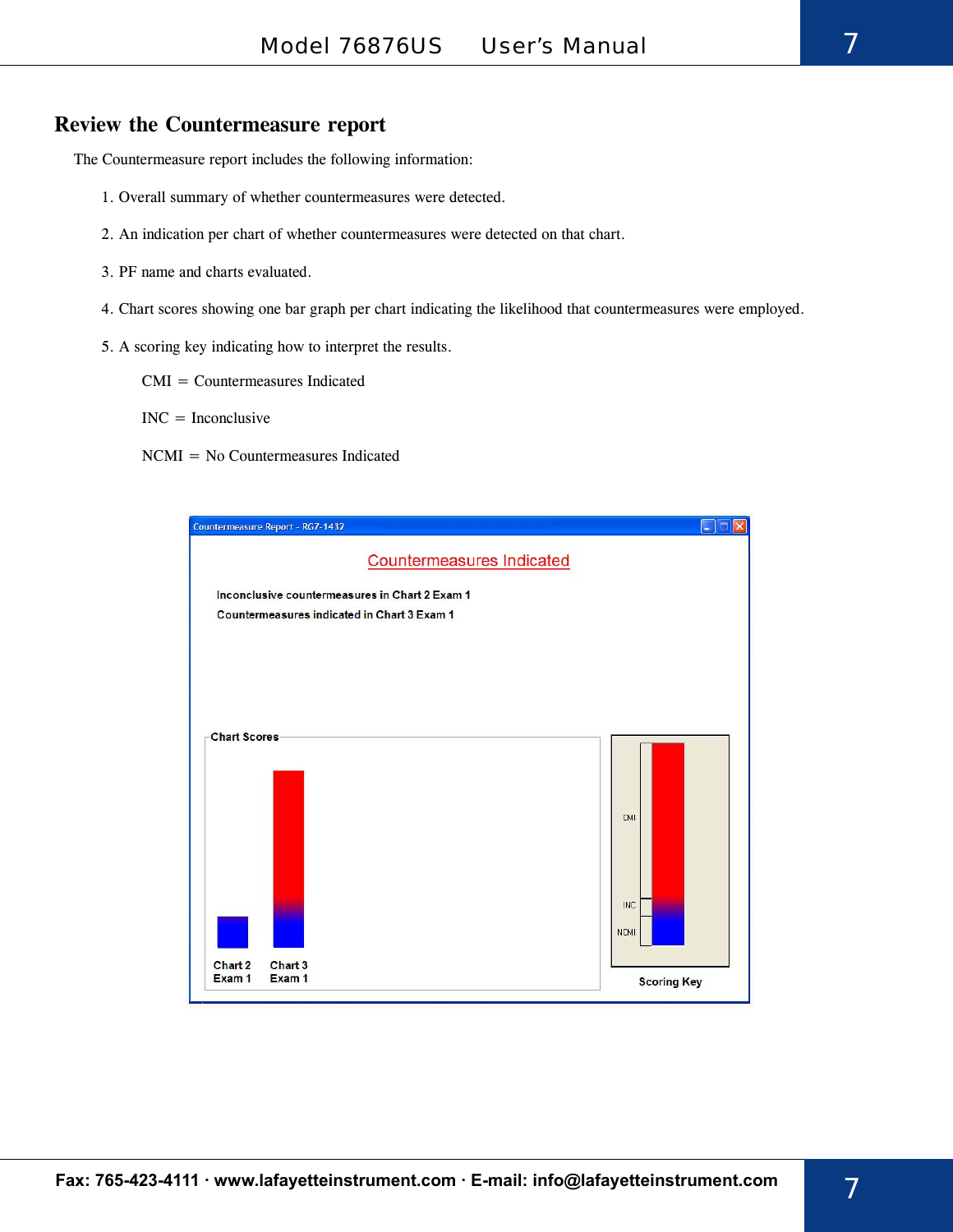#### **Review the Countermeasure report**

The Countermeasure report includes the following information:

- 1. Overall summary of whether countermeasures were detected.
- 2. An indication per chart of whether countermeasures were detected on that chart.
- 3. PF name and charts evaluated.
- 4. Chart scores showing one bar graph per chart indicating the likelihood that countermeasures were employed.
- 5. A scoring key indicating how to interpret the results.
	- CMI = Countermeasures Indicated
	- $INC = Inconclusive$
	- NCMI = No Countermeasures Indicated